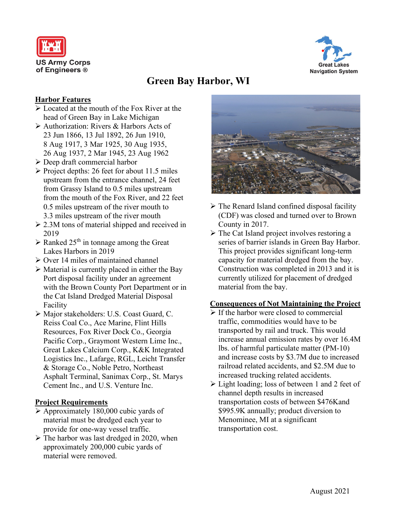



# **Green Bay Harbor, WI**

## **Harbor Features**

- $\triangleright$  Located at the mouth of the Fox River at the head of Green Bay in Lake Michigan
- Authorization: Rivers & Harbors Acts of 23 Jun 1866, 13 Jul 1892, 26 Jun 1910, 8 Aug 1917, 3 Mar 1925, 30 Aug 1935, 26 Aug 1937, 2 Mar 1945, 23 Aug 1962
- Deep draft commercial harbor
- $\triangleright$  Project depths: 26 feet for about 11.5 miles upstream from the entrance channel, 24 feet from Grassy Island to 0.5 miles upstream from the mouth of the Fox River, and 22 feet 0.5 miles upstream of the river mouth to 3.3 miles upstream of the river mouth
- 2.3M tons of material shipped and received in 2019
- $\triangleright$  Ranked 25<sup>th</sup> in tonnage among the Great Lakes Harbors in 2019
- $\triangleright$  Over 14 miles of maintained channel
- $\triangleright$  Material is currently placed in either the Bay Port disposal facility under an agreement with the Brown County Port Department or in the Cat Island Dredged Material Disposal Facility
- Major stakeholders: U.S. Coast Guard, C. Reiss Coal Co., Ace Marine, Flint Hills Resources, Fox River Dock Co., Georgia Pacific Corp., Graymont Western Lime Inc., Great Lakes Calcium Corp., K&K Integrated Logistics Inc., Lafarge, RGL, Leicht Transfer & Storage Co., Noble Petro, Northeast Asphalt Terminal, Sanimax Corp., St. Marys Cement Inc., and U.S. Venture Inc.

### **Project Requirements**

- $\triangleright$  Approximately 180,000 cubic yards of material must be dredged each year to provide for one-way vessel traffic.
- $\triangleright$  The harbor was last dredged in 2020, when approximately 200,000 cubic yards of material were removed.



- $\triangleright$  The Renard Island confined disposal facility (CDF) was closed and turned over to Brown County in 2017.
- $\triangleright$  The Cat Island project involves restoring a series of barrier islands in Green Bay Harbor. This project provides significant long-term capacity for material dredged from the bay. Construction was completed in 2013 and it is currently utilized for placement of dredged material from the bay.

#### **Consequences of Not Maintaining the Project**

- $\triangleright$  If the harbor were closed to commercial traffic, commodities would have to be transported by rail and truck. This would increase annual emission rates by over 16.4M lbs. of harmful particulate matter (PM-10) and increase costs by \$3.7M due to increased railroad related accidents, and \$2.5M due to increased trucking related accidents.
- Light loading; loss of between 1 and 2 feet of channel depth results in increased transportation costs of between \$476Kand \$995.9K annually; product diversion to Menominee, MI at a significant transportation cost.